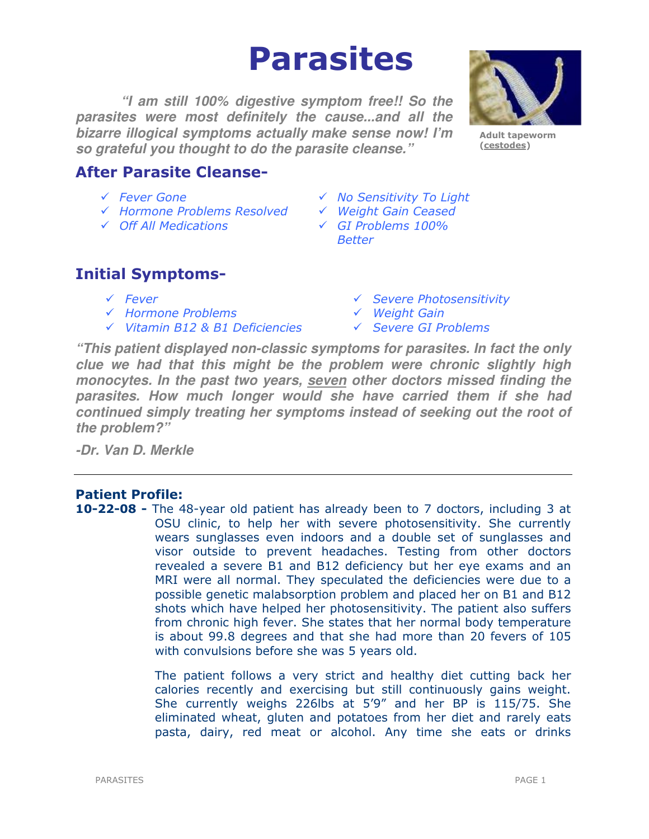# Parasites

**"I am still 100% digestive symptom free!! So the parasites were most definitely the cause...and all the bizarre illogical symptoms actually make sense now! I'm so grateful you thought to do the parasite cleanse."** 



Adult tapeworm (cestodes)

# After Parasite Cleanse-

- 
- Hormone Problems Resolved Weight Gain Ceased
- Off All Medications GI Problems 100%
- Fever Gone No Sensitivity To Light
	-
	- Better

# Initial Symptoms-

- 
- √ Hormone Problems v Weight Gain
- $\checkmark$  Vitamin B12 & B1 Deficiencies  $\checkmark$  Severe GI Problems
- Fever Severe Photosensitivity
	-
	-

**"This patient displayed non-classic symptoms for parasites. In fact the only clue we had that this might be the problem were chronic slightly high monocytes. In the past two years, seven other doctors missed finding the parasites. How much longer would she have carried them if she had continued simply treating her symptoms instead of seeking out the root of the problem?"** 

**-Dr. Van D. Merkle** 

# Patient Profile:

10-22-08 - The 48-year old patient has already been to 7 doctors, including 3 at OSU clinic, to help her with severe photosensitivity. She currently wears sunglasses even indoors and a double set of sunglasses and visor outside to prevent headaches. Testing from other doctors revealed a severe B1 and B12 deficiency but her eye exams and an MRI were all normal. They speculated the deficiencies were due to a possible genetic malabsorption problem and placed her on B1 and B12 shots which have helped her photosensitivity. The patient also suffers from chronic high fever. She states that her normal body temperature is about 99.8 degrees and that she had more than 20 fevers of 105 with convulsions before she was 5 years old.

> The patient follows a very strict and healthy diet cutting back her calories recently and exercising but still continuously gains weight. She currently weighs 226lbs at 5'9" and her BP is 115/75. She eliminated wheat, gluten and potatoes from her diet and rarely eats pasta, dairy, red meat or alcohol. Any time she eats or drinks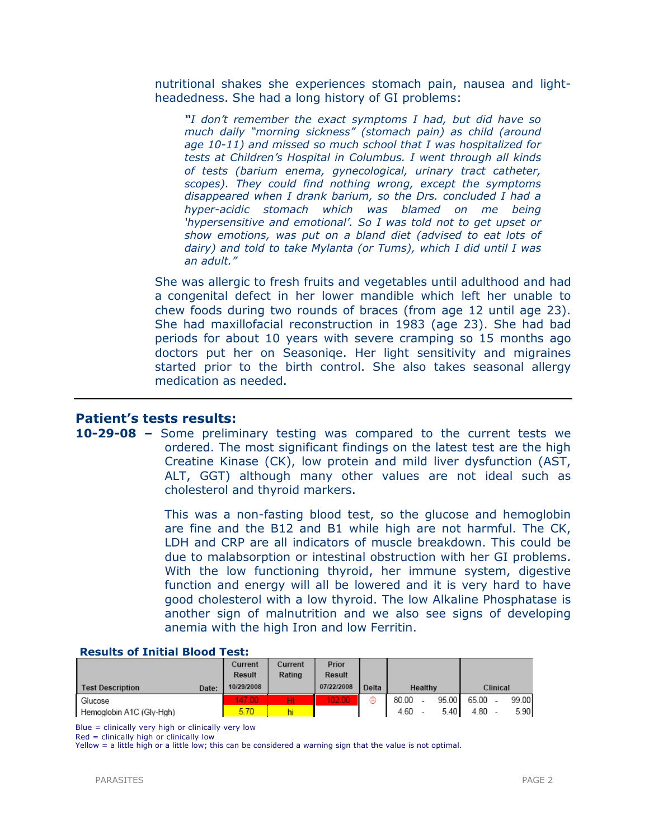nutritional shakes she experiences stomach pain, nausea and lightheadedness. She had a long history of GI problems:

"I don't remember the exact symptoms I had, but did have so much daily "morning sickness" (stomach pain) as child (around age 10-11) and missed so much school that I was hospitalized for tests at Children's Hospital in Columbus. I went through all kinds of tests (barium enema, gynecological, urinary tract catheter, scopes). They could find nothing wrong, except the symptoms disappeared when I drank barium, so the Drs. concluded I had a hyper-acidic stomach which was blamed on me being 'hypersensitive and emotional'. So I was told not to get upset or show emotions, was put on a bland diet (advised to eat lots of dairy) and told to take Mylanta (or Tums), which I did until I was an adult."

She was allergic to fresh fruits and vegetables until adulthood and had a congenital defect in her lower mandible which left her unable to chew foods during two rounds of braces (from age 12 until age 23). She had maxillofacial reconstruction in 1983 (age 23). She had bad periods for about 10 years with severe cramping so 15 months ago doctors put her on Seasoniqe. Her light sensitivity and migraines started prior to the birth control. She also takes seasonal allergy medication as needed.

# Patient's tests results:

# 10-29-08 – Some preliminary testing was compared to the current tests we ordered. The most significant findings on the latest test are the high Creatine Kinase (CK), low protein and mild liver dysfunction (AST, ALT, GGT) although many other values are not ideal such as cholesterol and thyroid markers.

This was a non-fasting blood test, so the glucose and hemoglobin are fine and the B12 and B1 while high are not harmful. The CK, LDH and CRP are all indicators of muscle breakdown. This could be due to malabsorption or intestinal obstruction with her GI problems. With the low functioning thyroid, her immune system, digestive function and energy will all be lowered and it is very hard to have good cholesterol with a low thyroid. The low Alkaline Phosphatase is another sign of malnutrition and we also see signs of developing anemia with the high Iron and low Ferritin.

| INGGUNING OI AIHINIMI BIGGUN TGGUI |            |         |            |       |         |  |       |          |  |       |  |
|------------------------------------|------------|---------|------------|-------|---------|--|-------|----------|--|-------|--|
|                                    | Current    | Current | Prior      |       |         |  |       |          |  |       |  |
|                                    | Result     | Rating  | Result     |       |         |  |       |          |  |       |  |
| <b>Test Description</b><br>Date:   | 10/29/2008 |         | 07/22/2008 | Delta | Healthy |  |       | Clinical |  |       |  |
| Glucose                            | 47.00      | HI      | 102.00     | ⊛     | 80.00   |  | 95.00 | 65.00    |  | 99.00 |  |
| Hemoglobin A1C (Gly-Hgh)           | 5.70       | hi      |            |       | 4.60    |  | 5.40  | 4.80     |  | 5.90  |  |

#### Results of Initial Blood Test:

Blue = clinically very high or clinically very low

Red = clinically high or clinically low

Yellow = a little high or a little low; this can be considered a warning sign that the value is not optimal.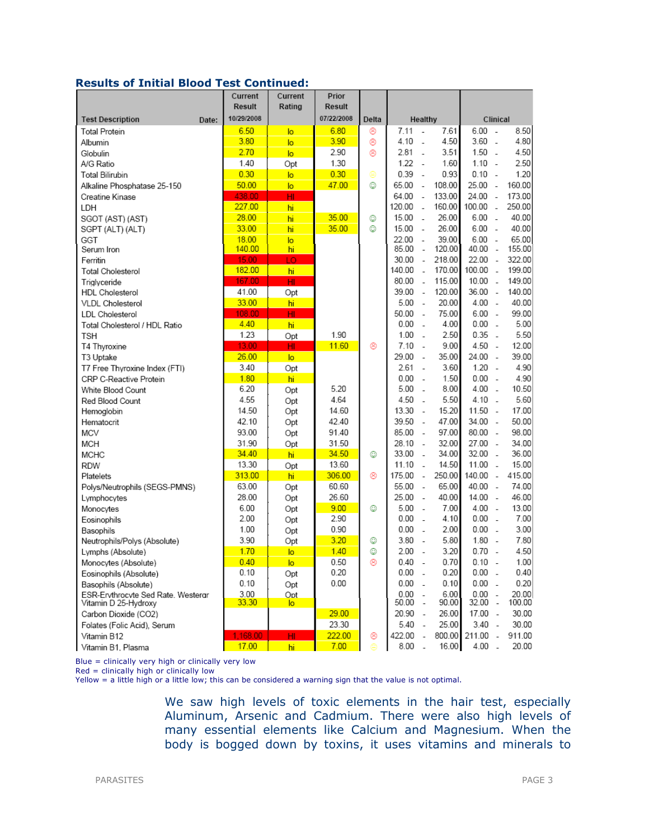# Results of Initial Blood Test Continued:

|                                    |       | Current<br>Result | Current<br>Rating | Prior<br>Result |       |          |                                    |           |                          |        |
|------------------------------------|-------|-------------------|-------------------|-----------------|-------|----------|------------------------------------|-----------|--------------------------|--------|
| <b>Test Description</b>            | Date: | 10/29/2008        |                   | 07/22/2008      | Delta |          | Healthy                            |           | Clinical                 |        |
| <b>Total Protein</b>               |       | 6.50              | lo.               | 6.80            | ⊛     | 7.11     | 7.61<br>$\overline{\phantom{a}}$   | $6.00 -$  |                          | 8.50   |
| Albumin                            |       | 3.80              | lo.               | 3.90            | ⊛     | 4.10     | 4.50<br>$\overline{\phantom{a}}$   | $3.60 -$  |                          | 4.80   |
| Globulin                           |       | 2.70              | lo.               | 2.90            | ⊛     | 2.81     | 3.51<br>$\sim$                     | $1.50 -$  |                          | 4.50   |
| A/G Ratio                          |       | 1.40              | Opt               | 1.30            |       | 1.22     | 1.60<br>$\overline{\phantom{a}}$   | $1.10 -$  |                          | 2.50   |
| Total Bilirubin                    |       | 0.30              | lo.               | 0.30            | Θ     | 0.39     | 0.93<br>$\sim$                     | $0.10 -$  |                          | 1.20   |
| Alkaline Phosphatase 25-150        |       | 50.00             | lo.               | 47.00           | ☺     | 65.00    | 108.00<br>$\sim$                   | 25.00     | $\sim$                   | 160.00 |
| Creatine Kinase                    |       | 438.00            | HI                |                 |       | 64.00    | 133.00<br>$\overline{a}$           | $24.00 -$ |                          | 173.00 |
| LDH                                |       | 227.00            | hi                |                 |       | 120.00   | 160.00<br>$\sim$                   | 100.00    | $\overline{a}$           | 250.00 |
| SGOT (AST) (AST)                   |       | 28.00             | hi                | 35.00           | ☺     | 15.00    | 26.00<br>$\overline{\phantom{a}}$  | $6.00 -$  |                          | 40.00  |
| SGPT (ALT) (ALT)                   |       | 33.00             | hi                | 35.00           | ☺     | 15.00    | 26.00<br>$\overline{\phantom{a}}$  | $6.00 -$  |                          | 40.00  |
| GGT                                |       | 18.00             | lo.               |                 |       | 22.00    | 39.00<br>$\sim$                    | $6.00 -$  |                          | 65.00  |
| Serum Iron                         |       | 140.00            | hi                |                 |       | 85.00    | 120.00<br>$\sim$                   | 40.00     | $\sim$                   | 155.00 |
| Ferritin                           |       | 15.00             | LO                |                 |       | 30.00    | 218.00<br>$\sim$                   | $22.00 -$ |                          | 322.00 |
| <b>Total Cholesterol</b>           |       | 182.00            | hi                |                 |       | 140.00   | 170.00<br>$\sim$                   | 100.00    | $\overline{a}$           | 199.00 |
| Triglyceride                       |       | 167.00            | HI                |                 |       | 80.00    | 115.00<br>$\overline{\phantom{a}}$ | $10.00 -$ |                          | 149.00 |
| <b>HDL</b> Cholesterol             |       | 41.00             | Opt               |                 |       | 39.00    | 120.00<br>$\sim$                   | 36.00     | $\sim$                   | 140.00 |
| <b>VLDL Cholesterol</b>            |       | 33.00             | hi                |                 |       | 5.00     | 20.00<br>$\overline{\phantom{a}}$  | 4.00      | $\sim$                   | 40.00  |
| <b>LDL</b> Cholesterol             |       | 108.00            | HI                |                 |       | 50.00    | 75.00<br>$\sim$                    | $6.00 -$  |                          | 99.00  |
| Total Cholesterol / HDL Ratio      |       | 4.40              | hi                |                 |       | 0.00     | 4.00<br>$\overline{\phantom{a}}$   | 0.00      | $\overline{\phantom{a}}$ | 5.00   |
| <b>TSH</b>                         |       | 1.23              | Opt               | 1.90            |       | 1.00     | 2.50<br>$\sim$                     | $0.35 -$  |                          | 5.50   |
| T4 Thyroxine                       |       | 13.00             | HI.               | 11.60           | ⊛     | 7.10     | 9.00<br>$\overline{\phantom{a}}$   | 4.50      | $\sim$                   | 12.00  |
| T3 Uptake                          |       | 26.00             | lo.               |                 |       | 29.00    | 35.00<br>$\sim$                    | 24.00     | $\overline{\phantom{a}}$ | 39.00  |
| T7 Free Thyroxine Index (FTI)      |       | 3.40              | Opt               |                 |       | 2.61     | 3.60<br>$\sim$                     | 1.20      | $\sim$                   | 4.90   |
| CRP C-Reactive Protein             |       | 1.80              | hi                |                 |       | 0.00     | 1.50<br>$\sim$                     | 0.00      | $\sim$                   | 4.90   |
| White Blood Count                  |       | 6.20              | Opt               | 5.20            |       | 5.00     | 8.00<br>$\overline{a}$             | $4.00 -$  |                          | 10.50  |
| Red Blood Count                    |       | 4.55              | Opt               | 4.64            |       | 4.50     | 5.50<br>$\overline{a}$             | $4.10 -$  |                          | 5.60   |
| Hemoglobin                         |       | 14.50             | Opt               | 14.60           |       | 13.30    | 15.20<br>$\sim$                    | 11.50     | $\overline{\phantom{a}}$ | 17.00  |
| Hematocrit                         |       | 42.10             | Opt               | 42.40           |       | 39.50    | 47.00<br>$\overline{\phantom{a}}$  | $34.00 -$ |                          | 50.00  |
| MCV                                |       | 93.00             | Opt               | 91.40           |       | 85.00    | 97.00<br>$\sim$                    | 80.00     | $\sim$                   | 98.00  |
| <b>MCH</b>                         |       | 31.90             | Opt               | 31.50           |       | 28.10    | 32.00<br>$\overline{\phantom{a}}$  | $27.00 -$ |                          | 34.00  |
| <b>MCHC</b>                        |       | 34.40             | hi                | 34.50           | ☺     | 33.00    | 34.00<br>$\sim$                    | 32.00     | $\overline{a}$           | 36.00  |
| <b>RDW</b>                         |       | 13.30             | Opt               | 13.60           |       | 11.10    | 14.50<br>$\sim$                    | 11.00     | $\sim$                   | 15.00  |
| Platelets                          |       | 313.00            | hi.               | 306.00          | ⊛     | 175.00   | 250.00<br>$\sim$                   | 140.00    | $\sim$                   | 415.00 |
| Polys/Neutrophils (SEGS-PMNS)      |       | 63.00             | Opt               | 60.60           |       | 55.00    | 65.00<br>$\overline{\phantom{a}}$  | 40.00     | $\sim$                   | 74.00  |
| Lymphocytes                        |       | 28.00             | Opt               | 26.60           |       | 25.00    | 40.00<br>$\overline{\phantom{a}}$  | $14.00 -$ |                          | 46.00  |
| Monocytes                          |       | 6.00              | Opt               | 9.00            | ☺     | 5.00     | 7.00<br>$\overline{\phantom{a}}$   | $4.00 -$  |                          | 13.00  |
| Eosinophils                        |       | 2.00              | Opt               | 2.90            |       | 0.00     | 4.10<br>$\sim$                     | 0.00      | $\sim$                   | 7.00   |
| Basophils                          |       | 1.00              | Opt               | 0.90            |       | 0.00     | 2.00<br>$\overline{a}$             | 0.00      | $\sim$                   | 3.00   |
| Neutrophils/Polys (Absolute)       |       | 3.90              | Opt               | 3.20            | ☺     | 3.80     | 5.80<br>$\sim$                     | 1.80      | $\sim$                   | 7.80   |
| Lymphs (Absolute)                  |       | 1.70              | lo.               | 1.40            | ☺     | 2.00     | 3.20<br>$\sim$                     | $0.70 -$  |                          | 4.50   |
| Monocytes (Absolute)               |       | 0.40              | $\overline{a}$    | 0.50            | ⊛     | 0.40     | 0.70<br>$\sim$                     | $0.10 -$  |                          | 1.00   |
| Eosinophils (Absolute)             |       | 0.10              | Opt               | 0.20            |       | 0.00     | 0.20<br>$\overline{\phantom{a}}$   | $0.00 -$  |                          | 0.40   |
| Basophils (Absolute)               |       | 0.10              | Opt               | 0.00            |       | $0.00 -$ | 0.10                               | $0.00 -$  |                          | 0.20   |
| ESR-Ervthrocvte Sed Rate. Westergr |       | 3.00              | Opt               |                 |       | 0.00     | 6.00<br>$\sim$                     | 0.00      | $\sim$                   | 20.00  |
| Vitamin D 25-Hydroxy               |       | 33.30             | $\overline{a}$    |                 |       | 50.00    | 90.00<br>$\overline{\phantom{a}}$  | 32.00     | $\overline{\phantom{a}}$ | 100.00 |
| Carbon Dioxide (CO2)               |       |                   |                   | 29.00           |       | 20.90    | 26.00<br>$\overline{\phantom{a}}$  | 17.00     | $\overline{\phantom{a}}$ | 30.00  |
| Folates (Folic Acid), Serum        |       |                   |                   | 23.30           |       | 5.40     | 25.00<br>$\overline{a}$            | $3.40 -$  |                          | 30.00  |
| Vitamin B12                        |       | 1,168.00          | н                 | 222.00          | ⊛     | 422.00   | 800.00<br>$\overline{\phantom{a}}$ | 211.00 -  |                          | 911.00 |
| Vitamin B1, Plasma                 |       | 17.00             | hi.               | 7.00            | ⊜     | 8.00     | 16.00<br>$\overline{\phantom{a}}$  | $4.00 -$  |                          | 20.00  |

Blue = clinically very high or clinically very low

Red = clinically high or clinically low

Yellow = a little high or a little low; this can be considered a warning sign that the value is not optimal.

We saw high levels of toxic elements in the hair test, especially Aluminum, Arsenic and Cadmium. There were also high levels of many essential elements like Calcium and Magnesium. When the body is bogged down by toxins, it uses vitamins and minerals to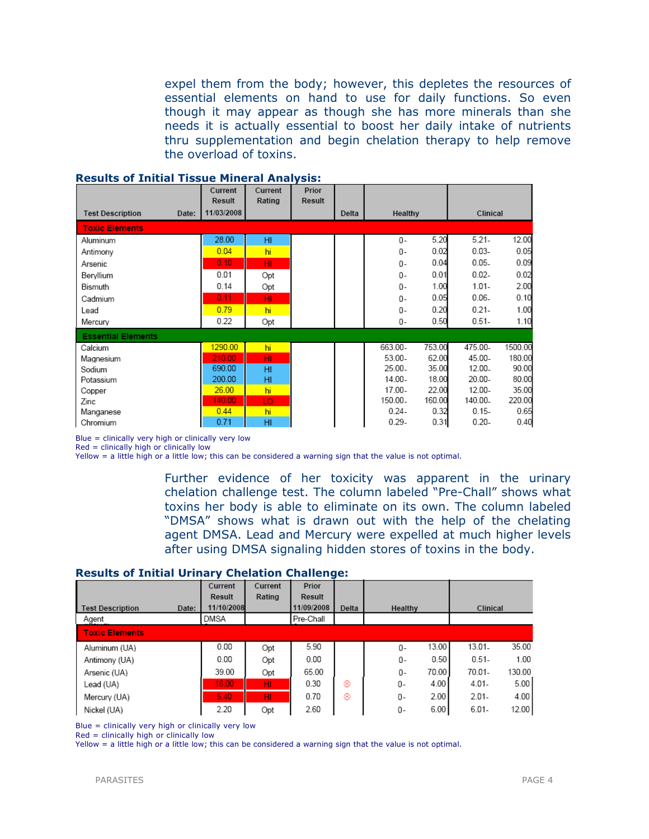expel them from the body; however, this depletes the resources of essential elements on hand to use for daily functions. So even though it may appear as though she has more minerals than she needs it is actually essential to boost her daily intake of nutrients thru supplementation and begin chelation therapy to help remove the overload of toxins.

|                           | Current<br><b>Result</b> | Current<br>Rating | Prior<br><b>Result</b> |       |           |        |          |         |
|---------------------------|--------------------------|-------------------|------------------------|-------|-----------|--------|----------|---------|
| <b>Test Description</b>   | 11/03/2008<br>Date:      |                   |                        | Delta | Healthy   |        | Clinical |         |
| <b>Toxic Elements</b>     |                          |                   |                        |       |           |        |          |         |
| Aluminum                  | 28.00                    | HI                |                        |       | 0-        | 5.20   | $5.21 -$ | 12.00   |
| Antimony                  | 0.04                     | hi                |                        |       | $0 -$     | 0.02   | $0.03 -$ | 0.05    |
| Arsenic                   | 0.10                     | HI                |                        |       | $0 -$     | 0.04   | $0.05 -$ | 0.09    |
| Beryllium                 | 0.01                     | Opt               |                        |       | $0 -$     | 0.01   | $0.02 -$ | 0.02    |
| Bismuth                   | 0.14                     | Opt               |                        |       | $0 -$     | 1.00   | $1.01 -$ | 2.00    |
| Cadmium                   | 0.11                     | HI                |                        |       | 0-        | 0.05   | $0.06 -$ | 0.10    |
| Lead                      | 0.79                     | hi                |                        |       | $0 -$     | 0.20   | $0.21 -$ | 1.00    |
| Mercury                   | 0.22                     | Opt               |                        |       | 0-        | 0.50   | $0.51 -$ | 1.10    |
| <b>Essential Elements</b> |                          |                   |                        |       |           |        |          |         |
| Calcium                   | 1290.00                  | hi                |                        |       | 663.00-   | 753.00 | 475.00-  | 1500.00 |
| Magnesium                 | 210.00                   | HI                |                        |       | $53.00 -$ | 62.00  | 45.00-   | 180.00  |
| Sodium                    | 690.00                   | H <sub>II</sub>   |                        |       | 25.00.    | 35.00  | 12.00-   | 90.00   |
| Potassium                 | 200.00                   | HI                |                        |       | 14.00-    | 18.00  | 20.00-   | 80.00   |
| Copper                    | 26.00                    | hi                |                        |       | $17.00 -$ | 22.00  | 12.00-   | 35.00   |
| Zinc                      | 140.00                   | LO                |                        |       | 150.00.   | 160.00 | 140.00-  | 220.00  |
| Manganese                 | 0.44                     | hi                |                        |       | $0.24 -$  | 0.32   | $0.15 -$ | 0.65    |
| Chromium                  | 0.71                     | HI                |                        |       | $0.29 -$  | 0.31   | $0.20 -$ | 0.40    |

#### Results of Initial Tissue Mineral Analysis:

Blue = clinically very high or clinically very low

 $Red =$  clinically high or clinically low

Yellow = a little high or a little low; this can be considered a warning sign that the value is not optimal.

Further evidence of her toxicity was apparent in the urinary chelation challenge test. The column labeled "Pre-Chall" shows what toxins her body is able to eliminate on its own. The column labeled "DMSA" shows what is drawn out with the help of the chelating agent DMSA. Lead and Mercury were expelled at much higher levels after using DMSA signaling hidden stores of toxins in the body.

#### Results of Initial Urinary Chelation Challenge:

|                                  | Current<br><b>Result</b> | Current<br>Rating | Prior<br>Result |       |             |                   |
|----------------------------------|--------------------------|-------------------|-----------------|-------|-------------|-------------------|
| <b>Test Description</b><br>Date: | 11/10/2008               |                   | 11/09/2008      | Delta | Healthy     | Clinical          |
| Agent                            | DMSA                     |                   | Pre-Chall       |       |             |                   |
| <b>Toxic Elements</b>            |                          |                   |                 |       |             |                   |
| Aluminum (UA)                    | 0.00                     | Opt               | 5.90            |       | 13.00<br>0- | 35.00<br>13.01-   |
| Antimony (UA)                    | 0.00                     | Opt               | 0.00            |       | 0.50<br>0-  | $0.51 -$<br>1.00  |
| Arsenic (UA)                     | 39.00                    | Opt               | 65.00           |       | 70.00<br>0- | 70.01-<br>130.00  |
| Lead (UA)                        | 16.00                    | HI.               | 0.30            | ⊛     | 4.00<br>0-  | 5.00<br>$4.01 -$  |
| Mercury (UA)                     | 5.40                     | HI.               | 0.70            | ⊛     | 2.00<br>0-  | $2.01 -$<br>4.00  |
| Nickel (UA)                      | 2.20                     | Opt               | 2.60            |       | 6.00<br>0-  | $6.01 -$<br>12.00 |

Blue = clinically very high or clinically very low

Red = clinically high or clinically low

Yellow = a little high or a little low; this can be considered a warning sign that the value is not optimal.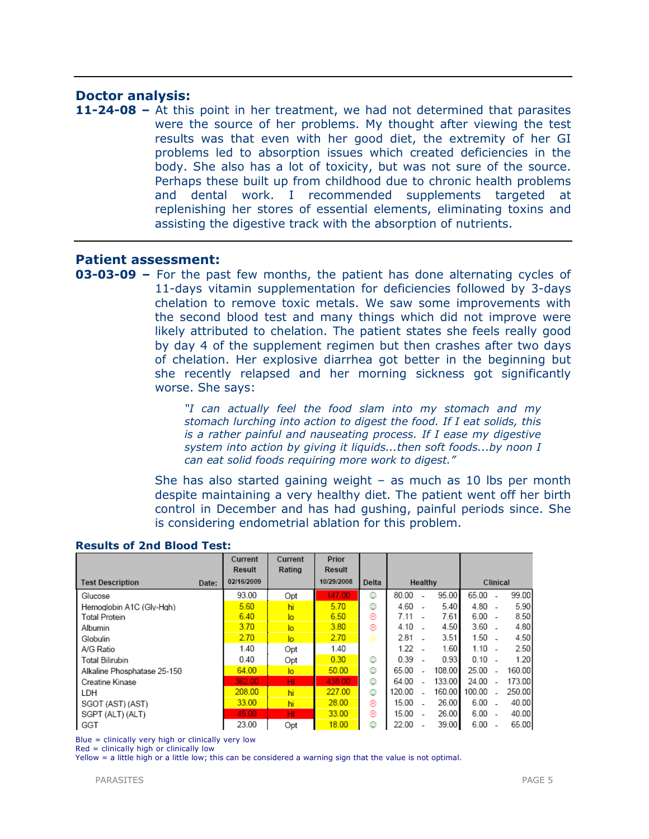# Doctor analysis:

11-24-08 – At this point in her treatment, we had not determined that parasites were the source of her problems. My thought after viewing the test results was that even with her good diet, the extremity of her GI problems led to absorption issues which created deficiencies in the body. She also has a lot of toxicity, but was not sure of the source. Perhaps these built up from childhood due to chronic health problems and dental work. I recommended supplements targeted at replenishing her stores of essential elements, eliminating toxins and assisting the digestive track with the absorption of nutrients.

# Patient assessment:

**03-03-09 –** For the past few months, the patient has done alternating cycles of 11-days vitamin supplementation for deficiencies followed by 3-days chelation to remove toxic metals. We saw some improvements with the second blood test and many things which did not improve were likely attributed to chelation. The patient states she feels really good by day 4 of the supplement regimen but then crashes after two days of chelation. Her explosive diarrhea got better in the beginning but she recently relapsed and her morning sickness got significantly worse. She says:

> "I can actually feel the food slam into my stomach and my stomach lurching into action to digest the food. If I eat solids, this is a rather painful and nauseating process. If I ease my digestive system into action by giving it liquids...then soft foods...by noon I can eat solid foods requiring more work to digest."

She has also started gaining weight – as much as 10 lbs per month despite maintaining a very healthy diet. The patient went off her birth control in December and has had gushing, painful periods since. She is considering endometrial ablation for this problem.

|                                  | Current<br>Result | Current<br>Rating | Prior<br>Result |       |        |         |        |          |  |        |
|----------------------------------|-------------------|-------------------|-----------------|-------|--------|---------|--------|----------|--|--------|
| <b>Test Description</b><br>Date: | 02/16/2009        |                   | 10/29/2008      | Delta |        | Healthy |        | Clinical |  |        |
| Glucose                          | 93.00             | Opt               | 147.00          | ☺     | 80.00  |         | 95.00  | 65.00    |  | 99.00  |
| Hemoglobin A1C (Gly-Hgh)         | 5.60              | hi                | 5.70            | ☺     | 4.60   |         | 5.40   | 4.80     |  | 5.90   |
| Total Protein                    | 6.40              | $\overline{a}$    | 6.50            | ⊛     | 7.11   |         | 7.61   | 6.00     |  | 8.50   |
| Albumin                          | 3.70              | $\overline{a}$    | 3.80            | ⊛     | 4.10   |         | 4.50   | 3.60     |  | 4.80   |
| Globulin                         | 2.70              | $\overline{a}$    | 2.70            | ⊜     | 2.81   |         | 3.51   | 1.50     |  | 4.50   |
| A/G Ratio                        | 1.40              | Opt               | 1.40            |       | 1.22   |         | 1.60   | 1.10     |  | 2.50   |
| Total Bilirubin                  | 0.40              | Opt               | 0.30            | ☺     | 0.39   |         | 0.93   | 0.10     |  | 1.20   |
| Alkaline Phosphatase 25-150      | 64.00             | $\overline{a}$    | 50.00           | ٧     | 65.00  |         | 108.00 | 25.00    |  | 160.00 |
| Creatine Kinase                  | 362.00            | HI                | 438.00          | ☺     | 64.00  |         | 133.00 | 24.00    |  | 173.00 |
| LDH                              | 208.00            | hi                | 227.00          | ٧     | 120.00 |         | 160.00 | 100.00   |  | 250.00 |
| SGOT (AST) (AST)                 | 33.00             | hi                | 28.00           | ⊛     | 15.00  |         | 26.00  | 6.00     |  | 40.00  |
| SGPT (ALT) (ALT)                 | 45.00             | HI                | 33.00           | ⊛     | 15.00  |         | 26.00  | 6.00     |  | 40.00  |
| GGT                              | 23.00             | Opt               | 18.00           | ☺     | 22.00  |         | 39.00  | 6.00     |  | 65.00  |

## Results of 2nd Blood Test:

Blue = clinically very high or clinically very low

Red = clinically high or clinically low

Yellow = a little high or a little low; this can be considered a warning sign that the value is not optimal.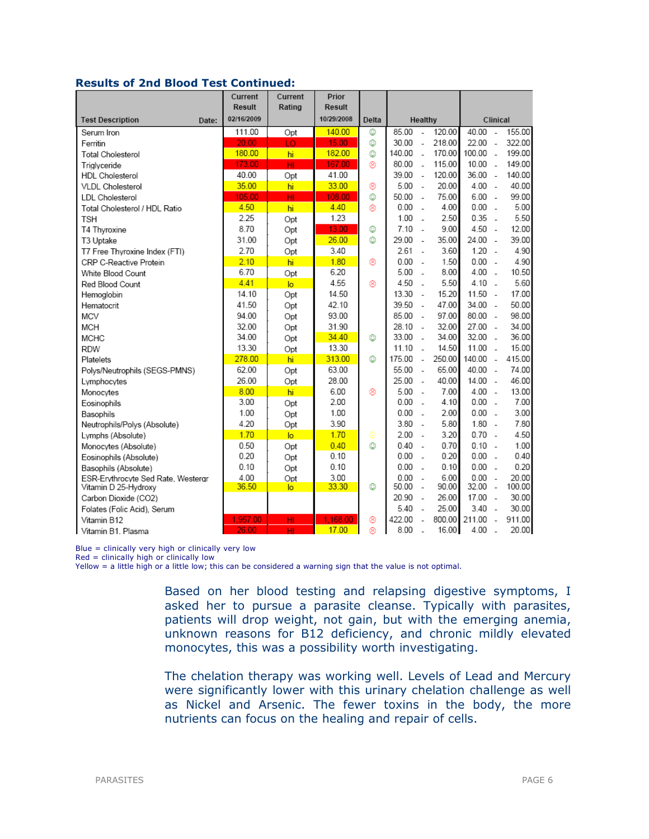# Results of 2nd Blood Test Continued:

|                                    | Current<br>Result | Current<br>Rating | Prior<br><b>Result</b> |       |        |                          |        |        |                          |        |
|------------------------------------|-------------------|-------------------|------------------------|-------|--------|--------------------------|--------|--------|--------------------------|--------|
| <b>Test Description</b><br>Date:   | 02/16/2009        |                   | 10/29/2008             | Delta |        | Healthy                  |        |        | Clinical                 |        |
| Serum Iron                         | 111.00            | Opt               | 140.00                 | O     | 85.00  | L,                       | 120.00 | 40.00  | $\sim$                   | 155.00 |
| Ferritin                           | 20.00             | LO.               | 15.00                  | O     | 30.00  | $\overline{a}$           | 218.00 | 22.00  | $\overline{a}$           | 322.00 |
| Total Cholesterol                  | 180.00            | hi                | 182.00                 | o     | 140.00 | $\overline{a}$           | 170.00 | 100.00 | $\sim$                   | 199.00 |
| Trialvceride                       | 173.00            | HI                | 167.00                 | ⊛     | 80.00  | $\overline{a}$           | 115.00 | 10.00  | $\overline{a}$           | 149.00 |
| <b>HDL</b> Cholesterol             | 40.00             | Opt               | 41.00                  |       | 39.00  | $\sim$                   | 120.00 | 36.00  | $\sim$                   | 140.00 |
| VLDL Cholesterol                   | 35.00             | hi                | 33.00                  | ⊛     | 5.00   | $\sim$                   | 20.00  | 4.00   | $\sim$                   | 40.00  |
| LDL Cholesterol                    | 105.00            | HI                | 108.00                 | O     | 50.00  | $\overline{\phantom{a}}$ | 75.00  | 6.00   | $\overline{\phantom{a}}$ | 99.00  |
| Total Cholesterol / HDL Ratio      | 4.50              | hi                | 4.40                   | ⊛     | 0.00   | $\overline{\phantom{a}}$ | 4.00   | 0.00   | $\overline{a}$           | 5.00   |
| TSH                                | 2.25              | Opt               | 1.23                   |       | 1.00   | $\overline{a}$           | 2.50   | 0.35   | $\sim$                   | 5.50   |
| T4 Thyroxine                       | 8.70              | Opt               | 13.00                  | O     | 7.10   | $\sim$                   | 9.00   | 4.50   | $\sim$                   | 12.00  |
| T3 Uptake                          | 31.00             | Opt               | 26.00                  | ٥     | 29.00  | $\sim$                   | 35.00  | 24.00  | $\sim$                   | 39.00  |
| T7 Free Thyroxine Index (FTI)      | 2.70              | Opt               | 3.40                   |       | 2.61   | $\sim$                   | 3.60   | 1.20   | $\overline{a}$           | 4.90   |
| CRP C-Reactive Protein             | 2.10              | hi                | 1.80                   | ⊛     | 0.00   | $\overline{\phantom{a}}$ | 1.50   | 0.00   | $\overline{\phantom{a}}$ | 4.90   |
| White Blood Count                  | 6.70              | Opt               | 6.20                   |       | 5.00   | $\overline{a}$           | 8.00   | 4.00   | $\overline{a}$           | 10.50  |
| Red Blood Count                    | 4.41              | $\overline{a}$    | 4.55                   | ⊛     | 4.50   | $\overline{a}$           | 5.50   | 4.10   | $\overline{a}$           | 5.60   |
| Hemoglobin                         | 14.10             | Opt               | 14.50                  |       | 13.30  | $\sim$                   | 15.20  | 11.50  | $\sim$                   | 17.00  |
| Hematocrit                         | 41.50             | Opt               | 42.10                  |       | 39.50  | $\overline{a}$           | 47.00  | 34.00  | $\sim$                   | 50.00  |
| <b>MCV</b>                         | 94.00             | Opt               | 93.00                  |       | 85.00  | $\sim$                   | 97.00  | 80.00  | $\sim$                   | 98.00  |
| MCH                                | 32.00             | Opt               | 31.90                  |       | 28.10  | $\sim$                   | 32.00  | 27.00  | $\sim$                   | 34.00  |
| <b>MCHC</b>                        | 34.00             | Opt               | 34.40                  | O     | 33.00  | $\overline{a}$           | 34.00  | 32.00  | $\overline{a}$           | 36.00  |
| <b>RDW</b>                         | 13.30             | Opt               | 13.30                  |       | 11.10  | $\overline{a}$           | 14.50  | 11.00  | $\mathbf{r}$             | 15.00  |
| Platelets                          | 278.00            | hi                | 313.00                 | ٨     | 175.00 | $\overline{\phantom{a}}$ | 250.00 | 140.00 | $\sim$                   | 415.00 |
| Polys/Neutrophils (SEGS-PMNS)      | 62.00             | Opt               | 63.00                  |       | 55.00  | $\sim$                   | 65.00  | 40.00  | $\sim$                   | 74.00  |
| Lymphocytes                        | 26.00             | Opt               | 28.00                  |       | 25.00  | $\overline{\phantom{a}}$ | 40.00  | 14.00  | $\sim$                   | 46.00  |
| Monocytes                          | 8.00              | hi                | 6.00                   | ⊛     | 5.00   | $\overline{\phantom{a}}$ | 7.00   | 4.00   | $\sim$                   | 13.00  |
| Eosinophils                        | 3.00              | Opt               | 2.00                   |       | 0.00   | $\overline{a}$           | 4.10   | 0.00   | $\mathbf{r}$             | 7.00   |
| Basophils                          | 1.00              | Opt               | 1.00                   |       | 0.00   | $\overline{\phantom{a}}$ | 2.00   | 0.00   | $\overline{a}$           | 3.00   |
| Neutrophils/Polys (Absolute)       | 4.20              | Opt               | 3.90                   |       | 3.80   | $\overline{a}$           | 5.80   | 1.80   | $\sim$                   | 7.80   |
| Lymphs (Absolute)                  | 1.70              | $\overline{a}$    | 1.70                   | ⊜     | 2.00   | $\sim$                   | 3.20   | 0.70   | $\sim$                   | 4.50   |
| Monocytes (Absolute)               | 0.50              | Opt               | 0.40                   | O     | 0.40   | $\overline{a}$           | 0.70   | 0.10   | $\sim$                   | 1.00   |
| Eosinophils (Absolute)             | 0.20              | Opt               | 0.10                   |       | 0.00   | $\overline{a}$           | 0.20   | 0.00   | $\overline{a}$           | 0.40   |
| Basophils (Absolute)               | 0.10              | Opt               | 0.10                   |       | 0.00   | $\sim$                   | 0.10   | 0.00   | ÷.                       | 0.20   |
| ESR-Ervthrocyte Sed Rate, Westergr | 4.00              | Opt               | 3.00                   |       | 0.00   | $\overline{a}$           | 6.00   | 0.00   | ÷.                       | 20.00  |
| Vitamin D 25-Hydroxy               | 36.50             | lo.               | 33.30                  | ☺     | 50.00  | $\sim$                   | 90.00  | 32.00  | $\overline{a}$           | 100.00 |
| Carbon Dioxide (CO2)               |                   |                   |                        |       | 20.90  | $\sim$                   | 26.00  | 17.00  | $\sim$                   | 30.00  |
| Folates (Folic Acid), Serum        |                   |                   |                        |       | 5.40   | $\sim$                   | 25.00  | 3.40   | $\sim$                   | 30.00  |
| Vitamin B12                        | 1,957.00          | HI                | 1.168.00               | ⊛     | 422.00 | $\overline{a}$           | 800.00 | 211.00 | L,                       | 911.00 |
| Vitamin B1, Plasma                 | 26.00             | HI                | 17.00                  | 0     | 8.00   | $\overline{a}$           | 16.00  | 4.00   | $\overline{a}$           | 20.00  |

Blue = clinically very high or clinically very low

 $Red =$  clinically high or clinically low

Yellow = a little high or a little low; this can be considered a warning sign that the value is not optimal.

Based on her blood testing and relapsing digestive symptoms, I asked her to pursue a parasite cleanse. Typically with parasites, patients will drop weight, not gain, but with the emerging anemia, unknown reasons for B12 deficiency, and chronic mildly elevated monocytes, this was a possibility worth investigating.

The chelation therapy was working well. Levels of Lead and Mercury were significantly lower with this urinary chelation challenge as well as Nickel and Arsenic. The fewer toxins in the body, the more nutrients can focus on the healing and repair of cells.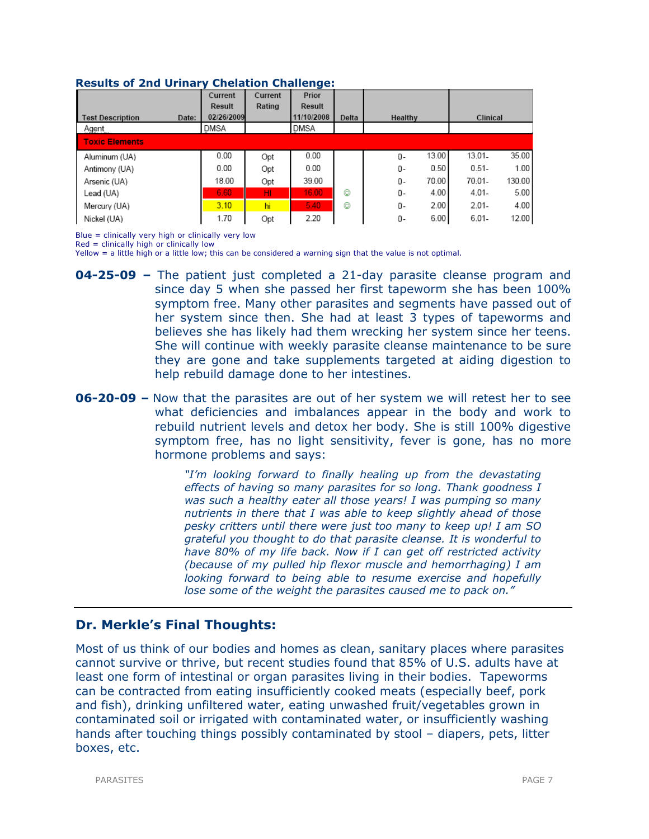#### Results of 2nd Urinary Chelation Challenge:

|                                  | Current       | Current | Prior      |       |             |                    |
|----------------------------------|---------------|---------|------------|-------|-------------|--------------------|
|                                  | <b>Result</b> | Rating  | Result     |       |             |                    |
| <b>Test Description</b><br>Date: | 02/26/2009    |         | 11/10/2008 | Delta | Healthy     | Clinical           |
| Agent                            | DMSA          |         | DMSA       |       |             |                    |
| <b>Toxic Elements</b>            |               |         |            |       |             |                    |
| Aluminum (UA)                    | 0.00          | Opt     | 0.00       |       | 13.00<br>0- | 35.00<br>$13.01 -$ |
| Antimony (UA)                    | 0.00          | Opt     | 0.00       |       | 0.50<br>0-  | $0.51 -$<br>1.00   |
| Arsenic (UA)                     | 18.00         | Opt     | 39.00      |       | 70.00<br>0- | 130.00<br>70.01-   |
| Lead (UA)                        | 6.60          | HI.     | 16.00      | ٥     | 4.00<br>0-  | $4.01 -$<br>5.00   |
| Mercury (UA)                     | 3.10          | hi      | 5.40       | ٨     | 2.00<br>0-  | $2.01 -$<br>4.00   |
| Nickel (UA)                      | 1.70          | Opt     | 2.20       |       | 6.00<br>0-  | $6.01 -$<br>12.00  |

Blue = clinically very high or clinically very low

Red = clinically high or clinically low

Yellow = a little high or a little low; this can be considered a warning sign that the value is not optimal.

- **04-25-09 –** The patient just completed a 21-day parasite cleanse program and since day 5 when she passed her first tapeworm she has been 100% symptom free. Many other parasites and segments have passed out of her system since then. She had at least 3 types of tapeworms and believes she has likely had them wrecking her system since her teens. She will continue with weekly parasite cleanse maintenance to be sure they are gone and take supplements targeted at aiding digestion to help rebuild damage done to her intestines.
- **06-20-09 –** Now that the parasites are out of her system we will retest her to see what deficiencies and imbalances appear in the body and work to rebuild nutrient levels and detox her body. She is still 100% digestive symptom free, has no light sensitivity, fever is gone, has no more hormone problems and says:

"I'm looking forward to finally healing up from the devastating effects of having so many parasites for so long. Thank goodness I was such a healthy eater all those years! I was pumping so many nutrients in there that I was able to keep slightly ahead of those pesky critters until there were just too many to keep up! I am SO grateful you thought to do that parasite cleanse. It is wonderful to have 80% of my life back. Now if I can get off restricted activity (because of my pulled hip flexor muscle and hemorrhaging) I am looking forward to being able to resume exercise and hopefully lose some of the weight the parasites caused me to pack on."

# Dr. Merkle's Final Thoughts:

Most of us think of our bodies and homes as clean, sanitary places where parasites cannot survive or thrive, but recent studies found that 85% of U.S. adults have at least one form of intestinal or organ parasites living in their bodies. Tapeworms can be contracted from eating insufficiently cooked meats (especially beef, pork and fish), drinking unfiltered water, eating unwashed fruit/vegetables grown in contaminated soil or irrigated with contaminated water, or insufficiently washing hands after touching things possibly contaminated by stool – diapers, pets, litter boxes, etc.